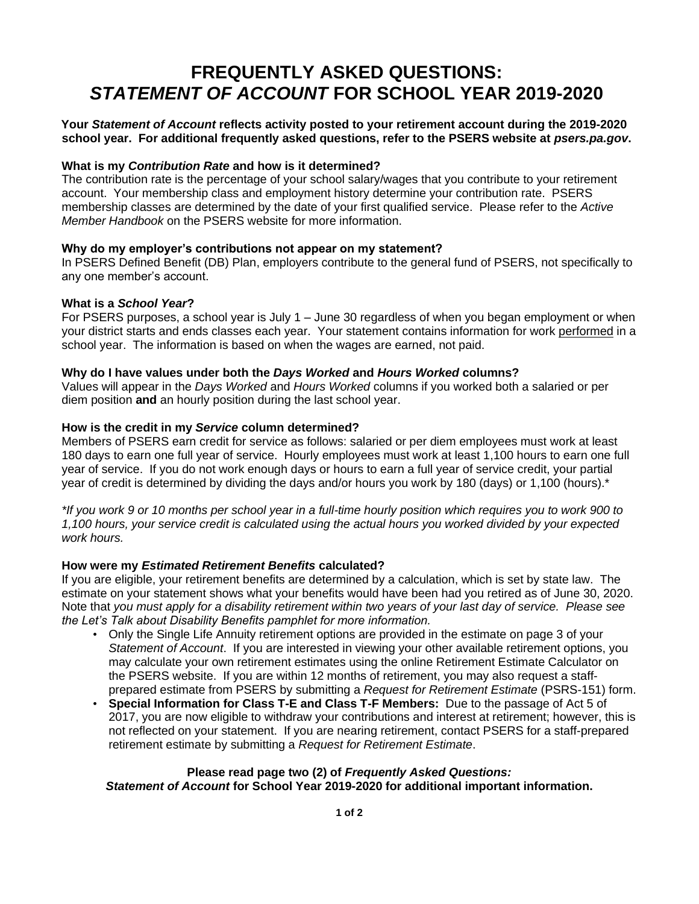# **FREQUENTLY ASKED QUESTIONS:** *STATEMENT OF ACCOUNT* **FOR SCHOOL YEAR 2019-2020**

## **Your** *Statement of Account* **reflects activity posted to your retirement account during the 2019-2020 school year. For additional frequently asked questions, refer to the PSERS website at** *psers.pa.gov***.**

## **What is my** *Contribution Rate* **and how is it determined?**

The contribution rate is the percentage of your school salary/wages that you contribute to your retirement account. Your membership class and employment history determine your contribution rate. PSERS membership classes are determined by the date of your first qualified service. Please refer to the *Active Member Handbook* on the PSERS website for more information.

#### **Why do my employer's contributions not appear on my statement?**

In PSERS Defined Benefit (DB) Plan, employers contribute to the general fund of PSERS, not specifically to any one member's account.

#### **What is a** *School Year***?**

For PSERS purposes, a school year is July 1 – June 30 regardless of when you began employment or when your district starts and ends classes each year. Your statement contains information for work performed in a school year. The information is based on when the wages are earned, not paid.

#### **Why do I have values under both the** *Days Worked* **and** *Hours Worked* **columns?**

Values will appear in the *Days Worked* and *Hours Worked* columns if you worked both a salaried or per diem position **and** an hourly position during the last school year.

#### **How is the credit in my** *Service* **column determined?**

Members of PSERS earn credit for service as follows: salaried or per diem employees must work at least 180 days to earn one full year of service. Hourly employees must work at least 1,100 hours to earn one full year of service. If you do not work enough days or hours to earn a full year of service credit, your partial year of credit is determined by dividing the days and/or hours you work by 180 (days) or 1,100 (hours).\*

*\*If you work 9 or 10 months per school year in a full-time hourly position which requires you to work 900 to 1,100 hours, your service credit is calculated using the actual hours you worked divided by your expected work hours.*

#### **How were my** *Estimated Retirement Benefits* **calculated?**

If you are eligible, your retirement benefits are determined by a calculation, which is set by state law. The estimate on your statement shows what your benefits would have been had you retired as of June 30, 2020. Note that *you must apply for a disability retirement within two years of your last day of service. Please see the Let's Talk about Disability Benefits pamphlet for more information.*

- Only the Single Life Annuity retirement options are provided in the estimate on page 3 of your *Statement of Account*. If you are interested in viewing your other available retirement options, you may calculate your own retirement estimates using the online Retirement Estimate Calculator on the PSERS website. If you are within 12 months of retirement, you may also request a staffprepared estimate from PSERS by submitting a *Request for Retirement Estimate* (PSRS-151) form.
- **Special Information for Class T-E and Class T-F Members:** Due to the passage of Act 5 of 2017, you are now eligible to withdraw your contributions and interest at retirement; however, this is not reflected on your statement. If you are nearing retirement, contact PSERS for a staff-prepared retirement estimate by submitting a *Request for Retirement Estimate*.

# **Please read page two (2) of** *Frequently Asked Questions:*

*Statement of Account* **for School Year 2019-2020 for additional important information.**